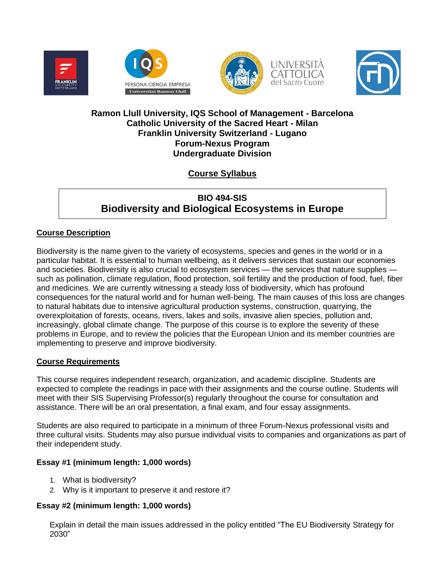







## **Ramon Llull University, IQS School of Management - Barcelona Catholic University of the Sacred Heart - Milan Franklin University Switzerland - Lugano Forum-Nexus Program Undergraduate Division**

# **Course Syllabus**

# **BIO 494-SIS Biodiversity and Biological Ecosystems in Europe**

## **Course Description**

Biodiversity is the name given to the variety of ecosystems, species and genes in the world or in a particular habitat. It is essential to human wellbeing, as it delivers services that sustain our economies and societies. Biodiversity is also crucial to ecosystem services — the services that nature supplies such as pollination, climate regulation, flood protection, soil fertility and the production of food, fuel, fiber and medicines. We are currently witnessing a steady loss of biodiversity, which has profound consequences for the natural world and for human well-being. The main causes of this loss are changes to natural habitats due to intensive agricultural production systems, construction, quarrying, the overexploitation of forests, oceans, rivers, lakes and soils, invasive alien species, pollution and, increasingly, global climate change. The purpose of this course is to explore the severity of these problems in Europe, and to review the policies that the European Union and its member countries are implementing to preserve and improve biodiversity.

## **Course Requirements**

This course requires independent research, organization, and academic discipline. Students are expected to complete the readings in pace with their assignments and the course outline. Students will meet with their SIS Supervising Professor(s) regularly throughout the course for consultation and assistance. There will be an oral presentation, a final exam, and four essay assignments.

Students are also required to participate in a minimum of three Forum-Nexus professional visits and three cultural visits. Students may also pursue individual visits to companies and organizations as part of their independent study.

## **Essay #1 (minimum length: 1,000 words)**

- 1. What is biodiversity?
- 2. Why is it important to preserve it and restore it?

## **Essay #2 (minimum length: 1,000 words)**

Explain in detail the main issues addressed in the policy entitled "The EU Biodiversity Strategy for 2030"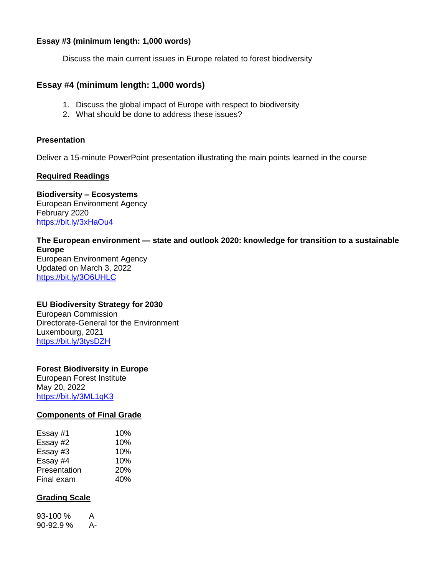## **Essay #3 (minimum length: 1,000 words)**

Discuss the main current issues in Europe related to forest biodiversity

## **Essay #4 (minimum length: 1,000 words)**

- 1. Discuss the global impact of Europe with respect to biodiversity
- 2. What should be done to address these issues?

#### **Presentation**

Deliver a 15-minute PowerPoint presentation illustrating the main points learned in the course

## **Required Readings**

**Biodiversity – Ecosystems** European Environment Agency February 2020 <https://bit.ly/3xHaOu4>

#### **The European environment — state and outlook 2020: knowledge for transition to a sustainable Europe** European Environment Agency

Updated on March 3, 2022 <https://bit.ly/3O6UHLC>

## **EU Biodiversity Strategy for 2030**

European Commission Directorate-General for the Environment Luxembourg, 2021 <https://bit.ly/3tysDZH>

## **Forest Biodiversity in Europe**

European Forest Institute May 20, 2022 <https://bit.ly/3ML1qK3>

#### **Components of Final Grade**

| Essay #1     | 10% |
|--------------|-----|
| Essay #2     | 10% |
| Essay #3     | 10% |
| Essay #4     | 10% |
| Presentation | 20% |
| Final exam   | 40% |

## **Grading Scale**

93-100 % A 90-92.9 % A-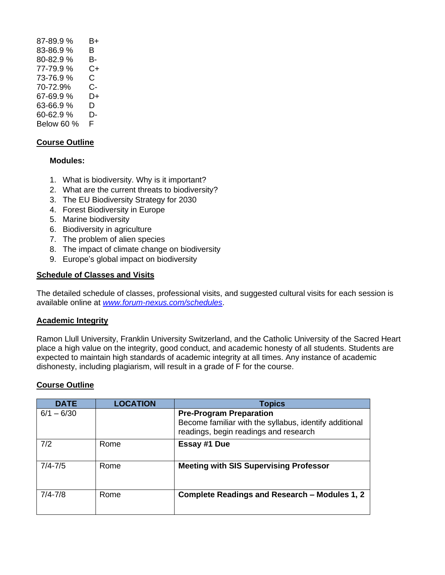87-89.9 % B+ 83-86.9 % B 80-82.9 % B-77-79.9 % C+ 73-76.9 % C 70-72.9% C-67-69.9 % D+ 63-66.9 % D 60-62.9 % D-Below 60 % F

## **Course Outline**

## **Modules:**

- 1. What is biodiversity. Why is it important?
- 2. What are the current threats to biodiversity?
- 3. The EU Biodiversity Strategy for 2030
- 4. Forest Biodiversity in Europe
- 5. Marine biodiversity
- 6. Biodiversity in agriculture
- 7. The problem of alien species
- 8. The impact of climate change on biodiversity
- 9. Europe's global impact on biodiversity

#### **Schedule of Classes and Visits**

The detailed schedule of classes, professional visits, and suggested cultural visits for each session is available online at *[www.forum-nexus.com/schedules](http://www.forum-nexus.com/schedules)*.

#### **Academic Integrity**

Ramon Llull University, Franklin University Switzerland, and the Catholic University of the Sacred Heart place a high value on the integrity, good conduct, and academic honesty of all students. Students are expected to maintain high standards of academic integrity at all times. Any instance of academic dishonesty, including plagiarism, will result in a grade of F for the course.

## **Course Outline**

| <b>DATE</b>  | <b>LOCATION</b> | <b>Topics</b>                                                                                                                     |
|--------------|-----------------|-----------------------------------------------------------------------------------------------------------------------------------|
| $6/1 - 6/30$ |                 | <b>Pre-Program Preparation</b><br>Become familiar with the syllabus, identify additional<br>readings, begin readings and research |
| 7/2          | Rome            | Essay #1 Due                                                                                                                      |
| $7/4 - 7/5$  | Rome            | <b>Meeting with SIS Supervising Professor</b>                                                                                     |
| $7/4 - 7/8$  | Rome            | Complete Readings and Research – Modules 1, 2                                                                                     |